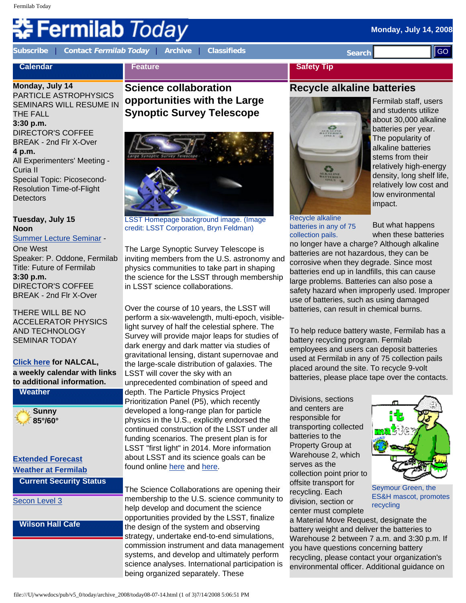# **Fermilab Today**

**Calendar**

**[Subscribe](http://www.fnal.gov/pub/today/subscription.html)** | **Contact [Fermilab Today](mailto:today@fnal.gov)** | **[Archive](http://www.fnal.gov/pub/today/archive.html)** | **[Classifieds](http://www.fnal.gov/pub/today/classifieds.html) Search** 

**Feature**

## **Monday, July 14, 2008**

**Monday, July 14** PARTICLE ASTROPHYSICS SEMINARS WILL RESUME IN THE FALL **3:30 p.m.** DIRECTOR'S COFFEE BREAK - 2nd Flr X-Over **4 p.m.** All Experimenters' Meeting - Curia II Special Topic: Picosecond-Resolution Time-of-Flight **Detectors** 

#### **Tuesday, July 15 Noon**

[Summer Lecture Seminar](http://sist.fnal.gov/lectures.html) -

One West Speaker: P. Oddone, Fermilab Title: Future of Fermilab **3:30 p.m.** DIRECTOR'S COFFEE BREAK - 2nd Flr X-Over

THERE WILL BE NO ACCELERATOR PHYSICS AND TECHNOLOGY SEMINAR TODAY

#### **[Click here](http://www.fnal.gov/directorate/nalcal/nalcal07_14_08.html) for NALCAL, a weekly calendar with links to additional information. Weather**



**[Extended Forecast](http://www.srh.noaa.gov/data/forecasts/ILZ012.php?warncounty=ILC089&city=Batavia) [Weather at Fermilab](http://www-esh.fnal.gov/pls/default/weather.html)**

**Current Security Status**

[Secon Level 3](http://www.fnal.gov/pub/about/public_affairs/currentstatus.html)

**Wilson Hall Cafe**

**Science collaboration opportunities with the Large Synoptic Survey Telescope** 



LSST Homepage background image. (Image credit: LSST Corporation, Bryn Feldman)

The Large Synoptic Survey Telescope is inviting members from the U.S. astronomy and physics communities to take part in shaping the science for the LSST through membership in LSST science collaborations.

Over the course of 10 years, the LSST will perform a six-wavelength, multi-epoch, visiblelight survey of half the celestial sphere. The Survey will provide major leaps for studies of dark energy and dark matter via studies of gravitational lensing, distant supernovae and the large-scale distribution of galaxies. The LSST will cover the sky with an unprecedented combination of speed and depth. The Particle Physics Project Prioritization Panel (P5), which recently developed a long-range plan for particle physics in the U.S., explicitly endorsed the continued construction of the LSST under all funding scenarios. The present plan is for LSST "first light" in 2014. More information about LSST and its science goals can be found online [here](http://www.lsst.org/) and [here.](http://arxiv.org/abs/0805.2366) **Excelse the main of 2008. Screen are the main of 3)** and **Control in the main of 2008.** The main of 2008. The main of 2008. The main of 2008 of 2008. The main of 2008. The main of 2008. The main of 2008. The main of 20

The Science Collaborations are opening their membership to the U.S. science community to help develop and document the science opportunities provided by the LSST, finalize the design of the system and observing strategy, undertake end-to-end simulations, commission instrument and data management systems, and develop and ultimately perform science analyses. International participation is being organized separately. These

#### **Safety Tip**

#### **Recycle alkaline batteries**



Recycle alkaline batteries in any of 75 collection pails.

Fermilab staff, users and students utilize about 30,000 alkaline batteries per year. The popularity of alkaline batteries stems from their relatively high-energy density, long shelf life, relatively low cost and low environmental impact.

But what happens when these batteries

no longer have a charge? Although alkaline batteries are not hazardous, they can be corrosive when they degrade. Since most batteries end up in landfills, this can cause large problems. Batteries can also pose a safety hazard when improperly used. Improper use of batteries, such as using damaged batteries, can result in chemical burns.

To help reduce battery waste, Fermilab has a battery recycling program. Fermilab employees and users can deposit batteries used at Fermilab in any of 75 collection pails placed around the site. To recycle 9-volt batteries, please place tape over the contacts.

Divisions, sections and centers are responsible for transporting collected batteries to the Property Group at Warehouse 2, which serves as the collection point prior to offsite transport for recycling. Each division, section or center must complete



Seymour Green, the ES&H mascot, promotes recycling

a Material Move Request, designate the battery weight and deliver the batteries to Warehouse 2 between 7 a.m. and 3:30 p.m. If you have questions concerning battery recycling, please contact your organization's environmental officer. Additional guidance on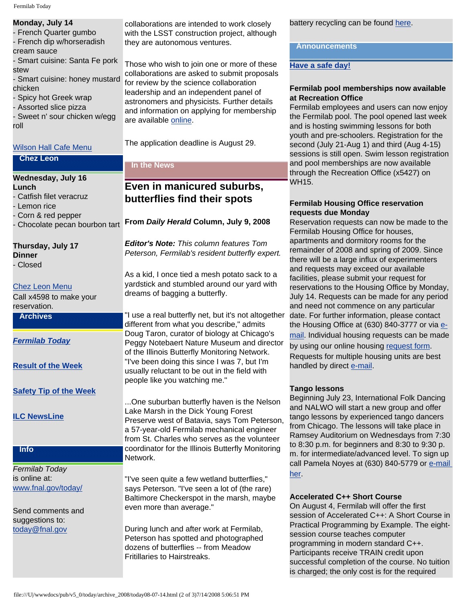| Monday, July 14        |  |
|------------------------|--|
| - French Quarter gumbo |  |

- French dip w/horseradish cream sauce

- Smart cuisine: Santa Fe pork stew

- Smart cuisine: honey mustard chicken

- Spicy hot Greek wrap

- Assorted slice pizza

- Sweet n' sour chicken w/egg roll

#### [Wilson Hall Cafe Menu](http://bss.fnal.gov/cafe/index.html)

#### **Chez Leon**

#### **Wednesday, July 16 Lunch**

- Catfish filet veracruz

- Lemon rice

- Corn & red pepper
- 

**Thursday, July 17 Dinner**

- Closed

#### [Chez Leon Menu](http://bss.fnal.gov/chezleon/index.html)

Call x4598 to make your reservation.

#### **Archives**

#### *[Fermilab Today](http://www.fnal.gov/pub/today/archive.html)*

**[Result of the Week](http://www.fnal.gov/pub/today/resultoftheweek/index.html)**

#### **[Safety Tip of the Week](http://www.fnal.gov/pub/today/safety/)**

**[ILC NewsLine](http://www.linearcollider.org/newsline/)**

#### **Info**

*Fermilab Today* is online at: [www.fnal.gov/today/](http://www.fnal.gov/today/)

Send comments and suggestions to: [today@fnal.gov](mailto:today@fnal.gov)

collaborations are intended to work closely with the LSST construction project, although they are autonomous ventures.

Those who wish to join one or more of these collaborations are asked to submit proposals for review by the science collaboration leadership and an independent panel of astronomers and physicists. Further details and information on applying for membership are available [online.](http://www.noao.edu/lsst/collab_prop/Scicollab.htm)

The application deadline is August 29.

#### **In the News**

### **Even in manicured suburbs, butterflies find their spots**

- Chocolate pecan bourbon tart **From** *Daily Herald* **Column, July 9, 2008**

*Editor's Note: This column features Tom Peterson, Fermilab's resident butterfly expert.*

As a kid, I once tied a mesh potato sack to a yardstick and stumbled around our yard with dreams of bagging a butterfly.

"I use a real butterfly net, but it's not altogether different from what you describe," admits Doug Taron, curator of biology at Chicago's Peggy Notebaert Nature Museum and director of the Illinois Butterfly Monitoring Network. "I've been doing this since I was 7, but I'm usually reluctant to be out in the field with people like you watching me."

...One suburban butterfly haven is the Nelson Lake Marsh in the Dick Young Forest Preserve west of Batavia, says Tom Peterson, a 57-year-old Fermilab mechanical engineer from St. Charles who serves as the volunteer coordinator for the Illinois Butterfly Monitoring Network.

"I've seen quite a few wetland butterflies," says Peterson. "I've seen a lot of (the rare) Baltimore Checkerspot in the marsh, maybe even more than average."

During lunch and after work at Fermilab, Peterson has spotted and photographed dozens of butterflies -- from Meadow Fritillaries to Hairstreaks.

battery recycling can be found [here](http://www-esh.fnal.gov:8001/Recycling/Alkaline_Battery_Recycling_Guidance.doc).

#### **Announcements**

#### **[Have a safe day!](http://www.fnal.gov/pub/about/safety/profiles.html)**

#### **Fermilab pool memberships now available at Recreation Office**

Fermilab employees and users can now enjoy the Fermilab pool. The pool opened last week and is hosting swimming lessons for both youth and pre-schoolers. Registration for the second (July 21-Aug 1) and third (Aug 4-15) sessions is still open. Swim lesson registration and pool memberships are now available through the Recreation Office (x5427) on WH15.

#### **Fermilab Housing Office reservation requests due Monday**

Reservation requests can now be made to the Fermilab Housing Office for houses, apartments and dormitory rooms for the remainder of 2008 and spring of 2009. Since there will be a large influx of experimenters and requests may exceed our available facilities, please submit your request for reservations to the Housing Office by Monday, July 14. Requests can be made for any period and need not commence on any particular date. For further information, please contact the Housing Office at (630) 840-3777 or via [e](mailto:housing@fnal.gov)[mail](mailto:housing@fnal.gov). Individual housing requests can be made by using our online housing [request form](http://listserv.fnal.gov/scripts/wa.exe?A2=ind0806&L=housing_office&T=0&P=295). Requests for multiple housing units are best handled by direct [e-mail](mailto:housing@fnal.gov).

#### **Tango lessons**

Beginning July 23, International Folk Dancing and NALWO will start a new group and offer tango lessons by experienced tango dancers from Chicago. The lessons will take place in Ramsey Auditorium on Wednesdays from 7:30 to 8:30 p.m. for beginners and 8:30 to 9:30 p. m. for intermediate/advanced level. To sign up call Pamela Noyes at (630) 840-5779 or e-mail [her.](mailto:noyes@fnal.gov)

#### **Accelerated C++ Short Course**

On August 4, Fermilab will offer the first session of Accelerated C++: A Short Course in Practical Programming by Example. The eightsession course teaches computer programming in modern standard C++. Participants receive TRAIN credit upon successful completion of the course. No tuition is charged; the only cost is for the required